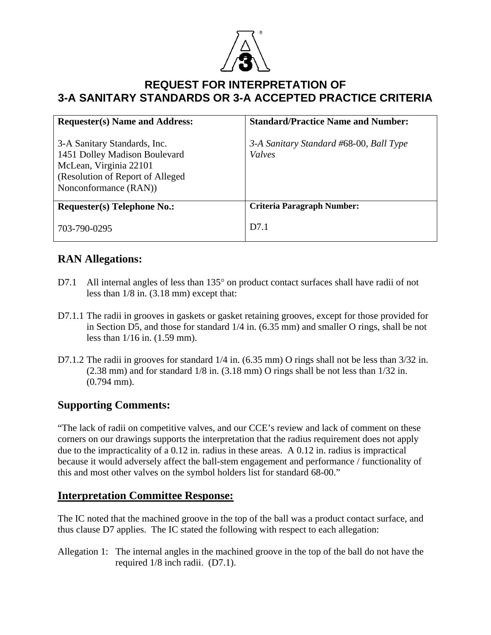

## **REQUEST FOR INTERPRETATION OF 3-A SANITARY STANDARDS OR 3-A ACCEPTED PRACTICE CRITERIA**

| <b>Requester(s)</b> Name and Address:                                                                                                                 | <b>Standard/Practice Name and Number:</b>         |
|-------------------------------------------------------------------------------------------------------------------------------------------------------|---------------------------------------------------|
| 3-A Sanitary Standards, Inc.<br>1451 Dolley Madison Boulevard<br>McLean, Virginia 22101<br>(Resolution of Report of Alleged)<br>Nonconformance (RAN)) | 3-A Sanitary Standard #68-00, Ball Type<br>Valves |
| <b>Requester(s) Telephone No.:</b>                                                                                                                    | <b>Criteria Paragraph Number:</b>                 |
| 703-790-0295                                                                                                                                          | D <sub>7.1</sub>                                  |

## **RAN Allegations:**

- D7.1 All internal angles of less than 135° on product contact surfaces shall have radii of not less than 1/8 in. (3.18 mm) except that:
- D7.1.1 The radii in grooves in gaskets or gasket retaining grooves, except for those provided for in Section D5, and those for standard 1/4 in. (6.35 mm) and smaller O rings, shall be not less than 1/16 in. (1.59 mm).
- D7.1.2 The radii in grooves for standard  $1/4$  in. (6.35 mm) O rings shall not be less than 3/32 in. (2.38 mm) and for standard 1/8 in. (3.18 mm) O rings shall be not less than 1/32 in. (0.794 mm).

## **Supporting Comments:**

"The lack of radii on competitive valves, and our CCE's review and lack of comment on these corners on our drawings supports the interpretation that the radius requirement does not apply due to the impracticality of a 0.12 in. radius in these areas. A 0.12 in. radius is impractical because it would adversely affect the ball-stem engagement and performance / functionality of this and most other valves on the symbol holders list for standard 68-00."

## **Interpretation Committee Response:**

The IC noted that the machined groove in the top of the ball was a product contact surface, and thus clause D7 applies. The IC stated the following with respect to each allegation:

Allegation 1: The internal angles in the machined groove in the top of the ball do not have the required 1/8 inch radii. (D7.1).